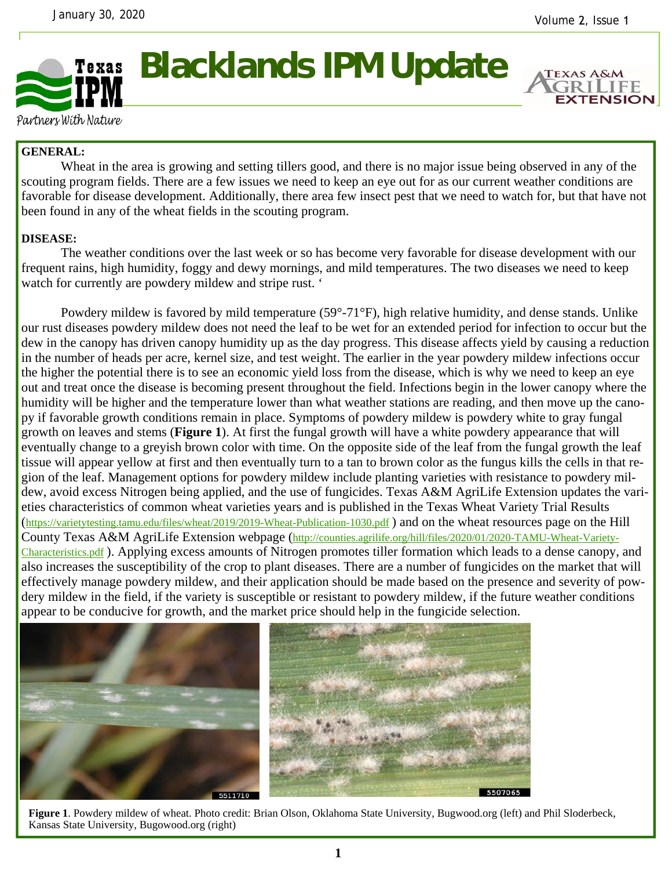

## **Blacklands IPM Update**

**EXTENSION** 

Partners With Nature

## **GENERAL:**

Wheat in the area is growing and setting tillers good, and there is no major issue being observed in any of the scouting program fields. There are a few issues we need to keep an eye out for as our current weather conditions are favorable for disease development. Additionally, there area few insect pest that we need to watch for, but that have not been found in any of the wheat fields in the scouting program.

## **DISEASE:**

The weather conditions over the last week or so has become very favorable for disease development with our frequent rains, high humidity, foggy and dewy mornings, and mild temperatures. The two diseases we need to keep watch for currently are powdery mildew and stripe rust. '

 Powdery mildew is favored by mild temperature (59°-71°F), high relative humidity, and dense stands. Unlike our rust diseases powdery mildew does not need the leaf to be wet for an extended period for infection to occur but the dew in the canopy has driven canopy humidity up as the day progress. This disease affects yield by causing a reduction in the number of heads per acre, kernel size, and test weight. The earlier in the year powdery mildew infections occur the higher the potential there is to see an economic yield loss from the disease, which is why we need to keep an eye out and treat once the disease is becoming present throughout the field. Infections begin in the lower canopy where the humidity will be higher and the temperature lower than what weather stations are reading, and then move up the canopy if favorable growth conditions remain in place. Symptoms of powdery mildew is powdery white to gray fungal growth on leaves and stems (**Figure 1**). At first the fungal growth will have a white powdery appearance that will eventually change to a greyish brown color with time. On the opposite side of the leaf from the fungal growth the leaf tissue will appear yellow at first and then eventually turn to a tan to brown color as the fungus kills the cells in that region of the leaf. Management options for powdery mildew include planting varieties with resistance to powdery mildew, avoid excess Nitrogen being applied, and the use of fungicides. Texas A&M AgriLife Extension updates the varieties characteristics of common wheat varieties years and is published in the Texas Wheat Variety Trial Results (https://varietytesting.tamu.edu/files/wheat/2019/2019-Wheat-Publication-1030.pdf ) and on the wheat resources page on the Hill County Texas A&M AgriLife Extension webpage (http://counties.agrilife.org/hill/files/2020/01/2020-TAMU-Wheat-Variety-Characteristics.pdf ). Applying excess amounts of Nitrogen promotes tiller formation which leads to a dense canopy, and also increases the susceptibility of the crop to plant diseases. There are a number of fungicides on the market that will effectively manage powdery mildew, and their application should be made based on the presence and severity of powdery mildew in the field, if the variety is susceptible or resistant to powdery mildew, if the future weather conditions appear to be conducive for growth, and the market price should help in the fungicide selection.



**Figure 1**. Powdery mildew of wheat. Photo credit: Brian Olson, Oklahoma State University, Bugwood.org (left) and Phil Sloderbeck, Kansas State University, Bugowood.org (right)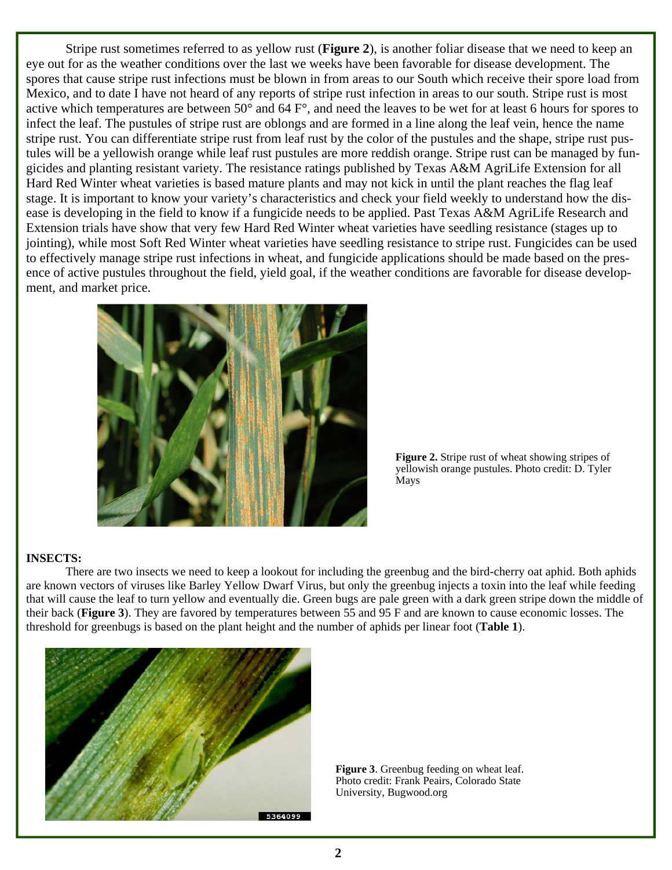Stripe rust sometimes referred to as yellow rust (**Figure 2**), is another foliar disease that we need to keep an eye out for as the weather conditions over the last we weeks have been favorable for disease development. The spores that cause stripe rust infections must be blown in from areas to our South which receive their spore load from Mexico, and to date I have not heard of any reports of stripe rust infection in areas to our south. Stripe rust is most active which temperatures are between 50° and 64 F°, and need the leaves to be wet for at least 6 hours for spores to infect the leaf. The pustules of stripe rust are oblongs and are formed in a line along the leaf vein, hence the name stripe rust. You can differentiate stripe rust from leaf rust by the color of the pustules and the shape, stripe rust pustules will be a yellowish orange while leaf rust pustules are more reddish orange. Stripe rust can be managed by fungicides and planting resistant variety. The resistance ratings published by Texas A&M AgriLife Extension for all Hard Red Winter wheat varieties is based mature plants and may not kick in until the plant reaches the flag leaf stage. It is important to know your variety's characteristics and check your field weekly to understand how the disease is developing in the field to know if a fungicide needs to be applied. Past Texas A&M AgriLife Research and Extension trials have show that very few Hard Red Winter wheat varieties have seedling resistance (stages up to jointing), while most Soft Red Winter wheat varieties have seedling resistance to stripe rust. Fungicides can be used to effectively manage stripe rust infections in wheat, and fungicide applications should be made based on the presence of active pustules throughout the field, yield goal, if the weather conditions are favorable for disease development, and market price.



**Figure 2.** Stripe rust of wheat showing stripes of yellowish orange pustules. Photo credit: D. Tyler Mays

## **INSECTS:**

 There are two insects we need to keep a lookout for including the greenbug and the bird-cherry oat aphid. Both aphids are known vectors of viruses like Barley Yellow Dwarf Virus, but only the greenbug injects a toxin into the leaf while feeding that will cause the leaf to turn yellow and eventually die. Green bugs are pale green with a dark green stripe down the middle of their back (**Figure 3**). They are favored by temperatures between 55 and 95 F and are known to cause economic losses. The threshold for greenbugs is based on the plant height and the number of aphids per linear foot (**Table 1**).



**Figure 3**. Greenbug feeding on wheat leaf. Photo credit: Frank Peairs, Colorado State University, Bugwood.org